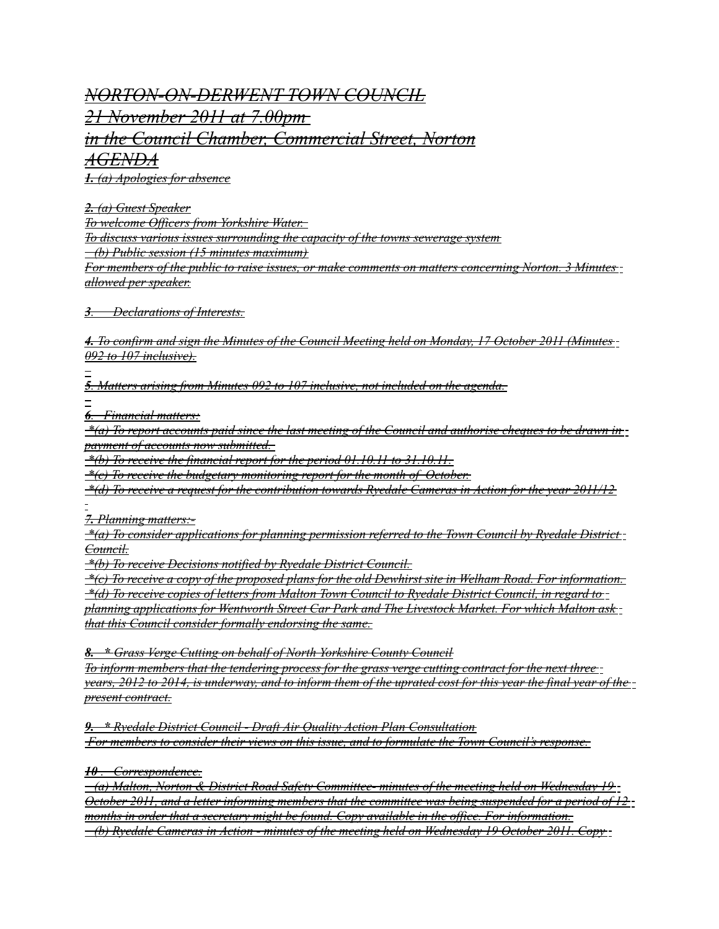*NORTON-ON-DERWENT TOWN COUNCIL 21 November 2011 at 7.00pm in the Council Chamber, Commercial Street, Norton AGENDA*

 *1. (a) Apologies for absence*

 *2. (a) Guest Speaker*

*To welcome Officers from Yorkshire Water.* 

*To discuss various issues surrounding the capacity of the towns sewerage system*

 *(b) Public session (15 minutes maximum)*

*For members of the public to raise issues, or make comments on matters concerning Norton. 3 Minutes allowed per speaker.*

 *3 . Declarations of Interests.*

 *4. To confirm and sign the Minutes of the Council Meeting held on Monday, 17 October 2011 (Minutes 092 to 107 inclusive).*

 *5 . Matters arising from Minutes 092 to 107 inclusive, not included on the agenda.*

 *6 . Financial matters:*

 *\*(a) To report accounts paid since the last meeting of the Council and authorise cheques to be drawn in payment of accounts now submitted.* 

 *\*(b) To receive the financial report for the period 01.10.11 to 31.10.11.*

 *\*(c) To receive the budgetary monitoring report for the month of October.*

 *\*(d) To receive a request for the contribution towards Ryedale Cameras in Action for the year 2011/12*

 *7. Planning matters:-*

 *\*(a) To consider applications for planning permission referred to the Town Council by Ryedale District Council.*

 *\*(b) To receive Decisions notified by Ryedale District Council.*

 *\*(c) To receive a copy of the proposed plans for the old Dewhirst site in Welham Road. For information. \*(d) To receive copies of letters from Malton Town Council to Ryedale District Council, in regard to planning applications for Wentworth Street Car Park and The Livestock Market. For which Malton ask that this Council consider formally endorsing the same.*

 *8. \* Grass Verge Cutting on behalf of North Yorkshire County Council*

*To inform members that the tendering process for the grass verge cutting contract for the next three years, 2012 to 2014, is underway, and to inform them of the uprated cost for this year the final year of the present contract.*

 *9. \* Ryedale District Council - Draft Air Quality Action Plan Consultation For members to consider their views on this issue, and to formulate the Town Council's response.*

 *10 . Correspondence.*

 *(a) Malton, Norton & District Road Safety Committee- minutes of the meeting held on Wednesday 19 October 2011, and a letter informing members that the committee was being suspended for a period of 12 months in order that a secretary might be found. Copy available in the office. For information. (b) Ryedale Cameras in Action - minutes of the meeting held on Wednesday 19 October 2011. Copy*